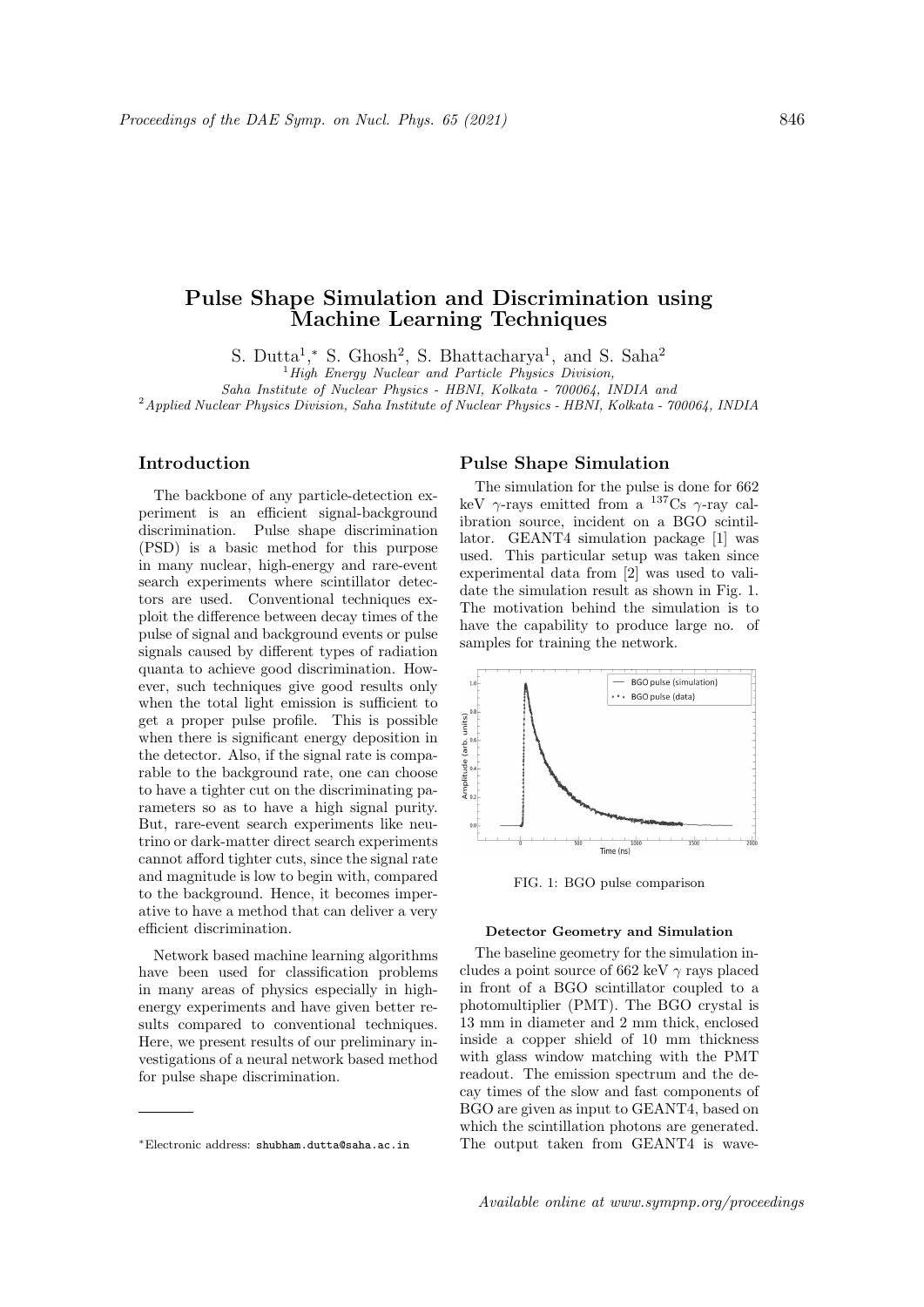# Pulse Shape Simulation and Discrimination using Machine Learning Techniques

S. Dutta<sup>1</sup>,\* S. Ghosh<sup>2</sup>, S. Bhattacharya<sup>1</sup>, and S. Saha<sup>2</sup>

 ${}^{1}$ High Energy Nuclear and Particle Physics Division, Saha Institute of Nuclear Physics - HBNI, Kolkata - 700064, INDIA and

<sup>2</sup> Applied Nuclear Physics Division, Saha Institute of Nuclear Physics - HBNI, Kolkata - 700064, INDIA

## Introduction

The backbone of any particle-detection experiment is an efficient signal-background discrimination. Pulse shape discrimination (PSD) is a basic method for this purpose in many nuclear, high-energy and rare-event search experiments where scintillator detectors are used. Conventional techniques exploit the difference between decay times of the pulse of signal and background events or pulse signals caused by different types of radiation quanta to achieve good discrimination. However, such techniques give good results only when the total light emission is sufficient to get a proper pulse profile. This is possible when there is significant energy deposition in the detector. Also, if the signal rate is comparable to the background rate, one can choose to have a tighter cut on the discriminating parameters so as to have a high signal purity. But, rare-event search experiments like neutrino or dark-matter direct search experiments cannot afford tighter cuts, since the signal rate and magnitude is low to begin with, compared to the background. Hence, it becomes imperative to have a method that can deliver a very efficient discrimination.

Network based machine learning algorithms have been used for classification problems in many areas of physics especially in highenergy experiments and have given better results compared to conventional techniques. Here, we present results of our preliminary investigations of a neural network based method for pulse shape discrimination.

## Pulse Shape Simulation

The simulation for the pulse is done for 662 keV  $\gamma$ -rays emitted from a <sup>137</sup>Cs  $\gamma$ -ray calibration source, incident on a BGO scintillator. GEANT4 simulation package [1] was used. This particular setup was taken since experimental data from [2] was used to validate the simulation result as shown in Fig. 1. The motivation behind the simulation is to have the capability to produce large no. of samples for training the network.



FIG. 1: BGO pulse comparison

#### Detector Geometry and Simulation

The baseline geometry for the simulation includes a point source of 662 keV  $\gamma$  rays placed in front of a BGO scintillator coupled to a photomultiplier (PMT). The BGO crystal is 13 mm in diameter and 2 mm thick, enclosed inside a copper shield of 10 mm thickness with glass window matching with the PMT readout. The emission spectrum and the decay times of the slow and fast components of BGO are given as input to GEANT4, based on which the scintillation photons are generated. The output taken from GEANT4 is wave-

<sup>∗</sup>Electronic address: shubham.dutta@saha.ac.in